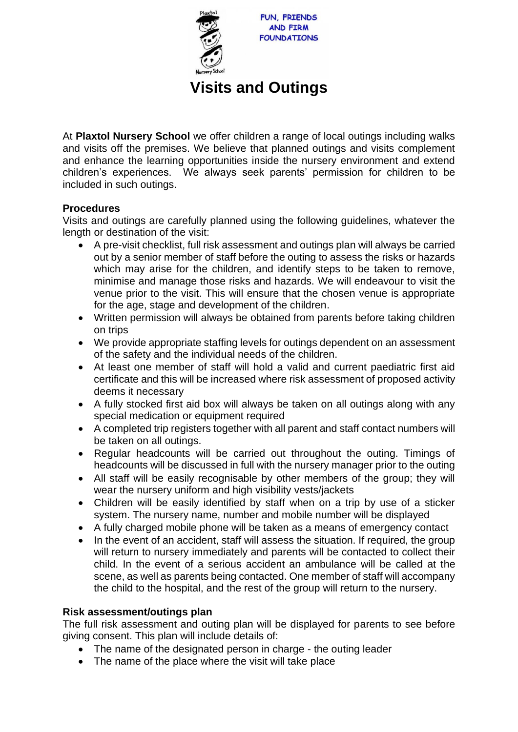

FUN, FRIENDS **AND FIRM FOUNDATIONS** 

# **Visits and Outings**

At **Plaxtol Nursery School** we offer children a range of local outings including walks and visits off the premises. We believe that planned outings and visits complement and enhance the learning opportunities inside the nursery environment and extend children's experiences. We always seek parents' permission for children to be included in such outings.

## **Procedures**

Visits and outings are carefully planned using the following guidelines, whatever the length or destination of the visit:

- A pre-visit checklist, full risk assessment and outings plan will always be carried out by a senior member of staff before the outing to assess the risks or hazards which may arise for the children, and identify steps to be taken to remove, minimise and manage those risks and hazards. We will endeavour to visit the venue prior to the visit. This will ensure that the chosen venue is appropriate for the age, stage and development of the children.
- Written permission will always be obtained from parents before taking children on trips
- We provide appropriate staffing levels for outings dependent on an assessment of the safety and the individual needs of the children.
- At least one member of staff will hold a valid and current paediatric first aid certificate and this will be increased where risk assessment of proposed activity deems it necessary
- A fully stocked first aid box will always be taken on all outings along with any special medication or equipment required
- A completed trip registers together with all parent and staff contact numbers will be taken on all outings.
- Regular headcounts will be carried out throughout the outing. Timings of headcounts will be discussed in full with the nursery manager prior to the outing
- All staff will be easily recognisable by other members of the group; they will wear the nursery uniform and high visibility vests/jackets
- Children will be easily identified by staff when on a trip by use of a sticker system. The nursery name, number and mobile number will be displayed
- A fully charged mobile phone will be taken as a means of emergency contact
- In the event of an accident, staff will assess the situation. If required, the group will return to nursery immediately and parents will be contacted to collect their child. In the event of a serious accident an ambulance will be called at the scene, as well as parents being contacted. One member of staff will accompany the child to the hospital, and the rest of the group will return to the nursery.

### **Risk assessment/outings plan**

The full risk assessment and outing plan will be displayed for parents to see before giving consent. This plan will include details of:

- The name of the designated person in charge the outing leader
- The name of the place where the visit will take place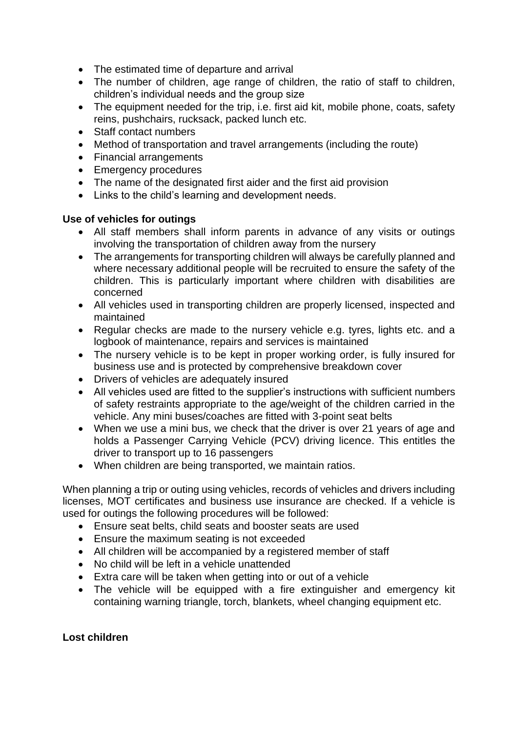- The estimated time of departure and arrival
- The number of children, age range of children, the ratio of staff to children, children's individual needs and the group size
- The equipment needed for the trip, i.e. first aid kit, mobile phone, coats, safety reins, pushchairs, rucksack, packed lunch etc.
- Staff contact numbers
- Method of transportation and travel arrangements (including the route)
- Financial arrangements
- Emergency procedures
- The name of the designated first aider and the first aid provision
- Links to the child's learning and development needs.

### **Use of vehicles for outings**

- All staff members shall inform parents in advance of any visits or outings involving the transportation of children away from the nursery
- The arrangements for transporting children will always be carefully planned and where necessary additional people will be recruited to ensure the safety of the children. This is particularly important where children with disabilities are concerned
- All vehicles used in transporting children are properly licensed, inspected and maintained
- Regular checks are made to the nursery vehicle e.g. tyres, lights etc. and a logbook of maintenance, repairs and services is maintained
- The nursery vehicle is to be kept in proper working order, is fully insured for business use and is protected by comprehensive breakdown cover
- Drivers of vehicles are adequately insured
- All vehicles used are fitted to the supplier's instructions with sufficient numbers of safety restraints appropriate to the age/weight of the children carried in the vehicle. Any mini buses/coaches are fitted with 3-point seat belts
- When we use a mini bus, we check that the driver is over 21 years of age and holds a Passenger Carrying Vehicle (PCV) driving licence. This entitles the driver to transport up to 16 passengers
- When children are being transported, we maintain ratios.

When planning a trip or outing using vehicles, records of vehicles and drivers including licenses, MOT certificates and business use insurance are checked. If a vehicle is used for outings the following procedures will be followed:

- Ensure seat belts, child seats and booster seats are used
- Ensure the maximum seating is not exceeded
- All children will be accompanied by a registered member of staff
- No child will be left in a vehicle unattended
- Extra care will be taken when getting into or out of a vehicle
- The vehicle will be equipped with a fire extinguisher and emergency kit containing warning triangle, torch, blankets, wheel changing equipment etc.

### **Lost children**